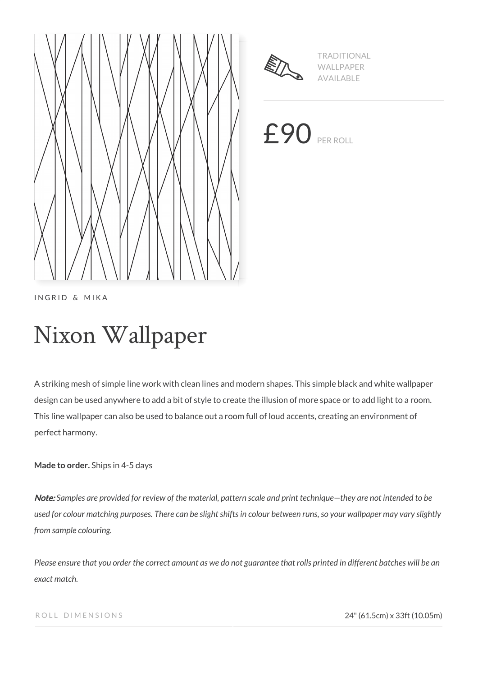



TRADITIONAL WALLPAPER AVAILABLE

£90 PER ROLL

INGRID & MIKA

# Nixon Wallpaper

A striking mesh of simple line work with clean lines and modern shapes. This simple black and white wallpaper design can be used anywhere to add a bit of style to create the illusion of more space or to add light to a room. This line wallpaper can also be used to balance out a room full of loud accents, creating an environment of perfect harmony.

**Made to order.** Ships in 4-5 days

Note: *Samples are provided for review of the material, pattern scale and print technique—they are not intended to be used for colour matching purposes. There can be slight shifts in colour between runs, so your wallpaper may vary slightly from sample colouring.*

*Please ensure that you order the correct amount as we do not guarantee that rolls printed in different batches will be an exact match.*

ROLL DIMENSIONS 24" (61.5cm) x 33ft (10.05m)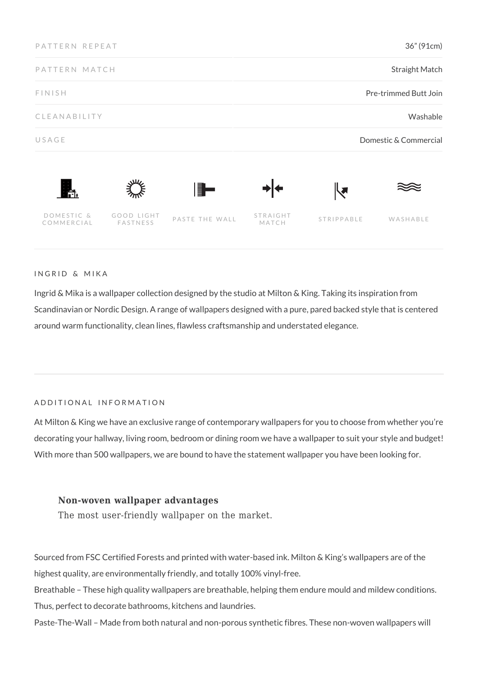| PATTERN REPEAT                |                        |                | 36" (91cm)<br>Straight Match      |            |          |
|-------------------------------|------------------------|----------------|-----------------------------------|------------|----------|
| PATTERN MATCH                 |                        |                |                                   |            |          |
| <b>FINISH</b><br>CLEANABILITY |                        |                | Pre-trimmed Butt Join<br>Washable |            |          |
|                               |                        |                |                                   |            |          |
| Ħ.                            |                        | F.             |                                   | ┞┛         |          |
| DOMESTIC &<br>COMMERCIAL      | GOOD LIGHT<br>FASTNESS | PASTE THE WALL | STRAIGHT<br>MATCH                 | STRIPPABLE | WASHABLE |

INGRID & MIKA

Ingrid & Mika is a wallpaper collection designed by the studio at Milton & King. Taking its inspiration from Scandinavian or Nordic Design. A range of wallpapers designed with a pure, pared backed style that is centered around warm functionality, clean lines, flawless craftsmanship and understated elegance.

### ADDITIONAL INFORMATION

At Milton & King we have an exclusive range of contemporary wallpapers for you to choose from whether you're decorating your hallway, living room, bedroom or dining room we have a wallpaper to suit your style and budget! With more than 500 wallpapers, we are bound to have the statement wallpaper you have been looking for.

## **Non-woven wallpaper advantages**

The most user-friendly wallpaper on the market.

Sourced from FSC Certified Forests and printed with water-based ink. Milton & King's wallpapers are of the highest quality, are environmentally friendly, and totally 100% vinyl-free.

Breathable – These high quality wallpapers are breathable, helping them endure mould and mildew conditions. Thus, perfect to decorate bathrooms, kitchens and laundries.

Paste-The-Wall – Made from both natural and non-porous synthetic fibres. These non-woven wallpapers will